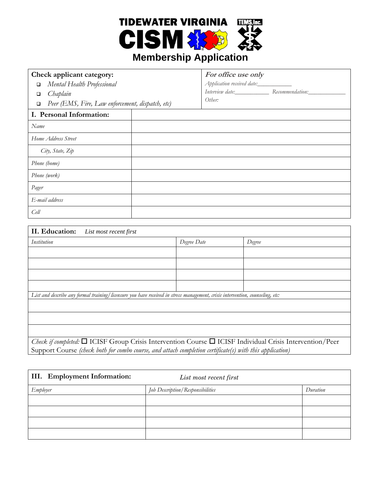

## **Membership Application**

| Check applicant category:                                  | For office use only        |                                                 |
|------------------------------------------------------------|----------------------------|-------------------------------------------------|
| Mental Health Professional<br>$\Box$                       | Application received date: |                                                 |
| Chaplain<br>$\Box$                                         |                            | Interview date: Recommendation: Recommendation: |
| Peer (EMS, Fire, Law enforcement, dispatch, etc)<br>$\Box$ | Other:                     |                                                 |
| I. Personal Information:                                   |                            |                                                 |
| Name                                                       |                            |                                                 |
| Home Address Street                                        |                            |                                                 |
| City, State, Zip                                           |                            |                                                 |
| Phone (home)                                               |                            |                                                 |
| Phone (work)                                               |                            |                                                 |
| Pager                                                      |                            |                                                 |
| E-mail address                                             |                            |                                                 |
| Cell                                                       |                            |                                                 |

| II. Education:<br>List most recent first                                                                                      |             |        |
|-------------------------------------------------------------------------------------------------------------------------------|-------------|--------|
| Institution                                                                                                                   | Degree Date | Degree |
|                                                                                                                               |             |        |
|                                                                                                                               |             |        |
|                                                                                                                               |             |        |
|                                                                                                                               |             |        |
| List and describe any formal training/licensure you have received in stress management, crisis intervention, counseling, etc: |             |        |
|                                                                                                                               |             |        |
|                                                                                                                               |             |        |
|                                                                                                                               |             |        |
| Check if completed: $\Box$ ICISF Group Crisis Intervention Course $\Box$ ICISF Individual Crisis Intervention/Peer            |             |        |
| Support Course (check both for combo course, and attach completion certificate(s) with this application)                      |             |        |

| III. Employment Information: | List most recent first           |          |
|------------------------------|----------------------------------|----------|
| Employer                     | Job Description/Responsibilities | Duration |
|                              |                                  |          |
|                              |                                  |          |
|                              |                                  |          |
|                              |                                  |          |